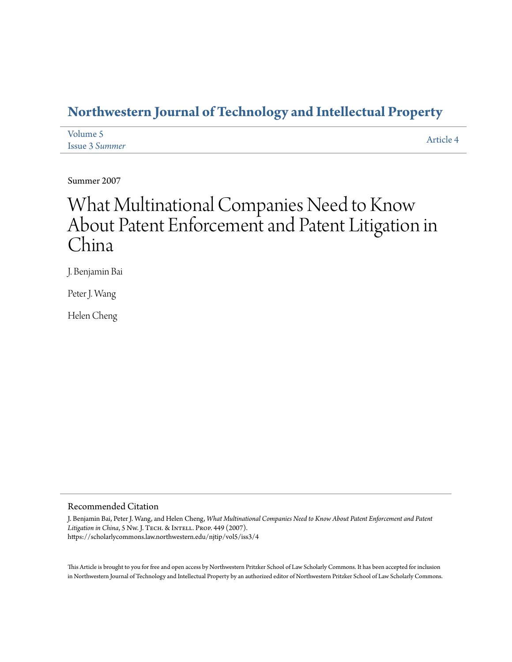## **[Northwestern Journal of Technology and Intellectual Property](https://scholarlycommons.law.northwestern.edu/njtip)**

| Volume 5              | Article 4 |
|-----------------------|-----------|
| <b>Issue 3 Summer</b> |           |

Summer 2007

# What Multinational Companies Need to Know About Patent Enforcement and Patent Litigation in China

J. Benjamin Bai

Peter J. Wang

Helen Cheng

#### Recommended Citation

J. Benjamin Bai, Peter J. Wang, and Helen Cheng, *What Multinational Companies Need to Know About Patent Enforcement and Patent* Litigation in China, 5 Nw. J. TECH. & INTELL. PROP. 449 (2007). https://scholarlycommons.law.northwestern.edu/njtip/vol5/iss3/4

This Article is brought to you for free and open access by Northwestern Pritzker School of Law Scholarly Commons. It has been accepted for inclusion in Northwestern Journal of Technology and Intellectual Property by an authorized editor of Northwestern Pritzker School of Law Scholarly Commons.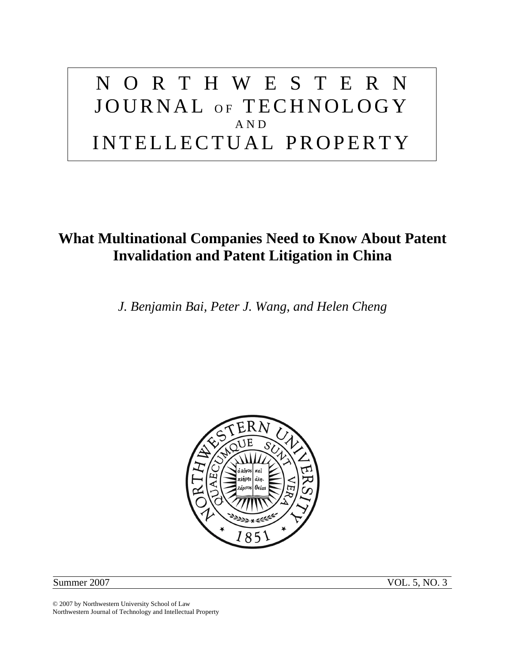# NORTHWESTERN JOURNAL OF TECHNOLOGY AND INTELLECTUAL PROPERTY

## **What Multinational Companies Need to Know About Patent Invalidation and Patent Litigation in China**

*J. Benjamin Bai, Peter J. Wang, and Helen Cheng* 



Summer 2007 VOL. 5, NO. 3

© 2007 by Northwestern University School of Law Northwestern Journal of Technology and Intellectual Property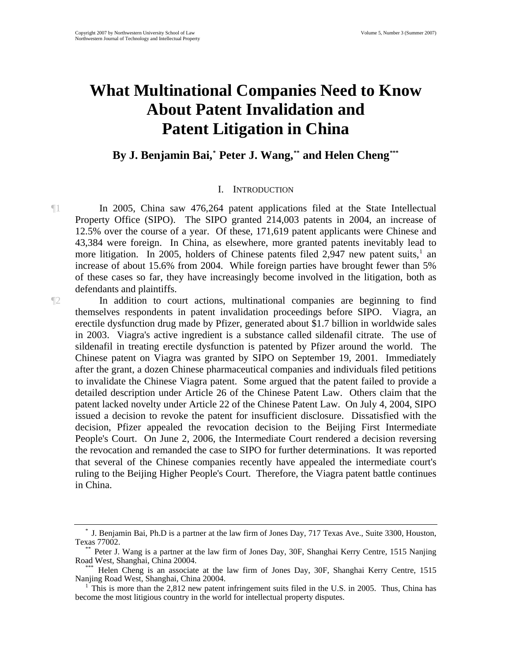# **What Multinational Companies Need to Know About Patent Invalidation and Patent Litigation in China**

By J. Benjamin Bai,<sup>\*</sup> Peter J. Wang,<sup>\*\*</sup> and Helen Cheng<sup>\*</sup>\*\*

#### I. INTRODUCTION

¶1 In 2005, China saw 476,264 patent applications filed at the State Intellectual Property Office (SIPO). The SIPO granted 214,003 patents in 2004, an increase of 12.5% over the course of a year. Of these, 171,619 patent applicants were Chinese and 43,384 were foreign. In China, as elsewhere, more granted patents inevitably lead to more litigation. In 2005, holders of Chinese patents filed 2,947 new patent suits, $1$  an increase of about 15.6% from 2004. While foreign parties have brought fewer than 5% of these cases so far, they have increasingly become involved in the litigation, both as defendants and plaintiffs.

¶2 In addition to court actions, multinational companies are beginning to find themselves respondents in patent invalidation proceedings before SIPO. Viagra, an erectile dysfunction drug made by Pfizer, generated about \$1.7 billion in worldwide sales in 2003. Viagra's active ingredient is a substance called sildenafil citrate. The use of sildenafil in treating erectile dysfunction is patented by Pfizer around the world. The Chinese patent on Viagra was granted by SIPO on September 19, 2001. Immediately after the grant, a dozen Chinese pharmaceutical companies and individuals filed petitions to invalidate the Chinese Viagra patent. Some argued that the patent failed to provide a detailed description under Article 26 of the Chinese Patent Law. Others claim that the patent lacked novelty under Article 22 of the Chinese Patent Law. On July 4, 2004, SIPO issued a decision to revoke the patent for insufficient disclosure. Dissatisfied with the decision, Pfizer appealed the revocation decision to the Beijing First Intermediate People's Court. On June 2, 2006, the Intermediate Court rendered a decision reversing the revocation and remanded the case to SIPO for further determinations. It was reported that several of the Chinese companies recently have appealed the intermediate court's ruling to the Beijing Higher People's Court. Therefore, the Viagra patent battle continues in China.

<span id="page-2-0"></span><sup>\*</sup> J. Benjamin Bai, Ph.D is a partner at the law firm of Jones Day, 717 Texas Ave., Suite 3300, Houston,

<span id="page-2-1"></span>Texas 77002.<br>\*\* Peter J. Wang is a partner at the law firm of Jones Day, 30F, Shanghai Kerry Centre, 1515 Nanjing<br>Road West, Shanghai, China 20004.

<span id="page-2-2"></span>Helen Cheng is an associate at the law firm of Jones Day, 30F, Shanghai Kerry Centre, 1515 Nanjing Road West, Shanghai, China 20004. 1

<span id="page-2-3"></span>This is more than the 2,812 new patent infringement suits filed in the U.S. in 2005. Thus, China has become the most litigious country in the world for intellectual property disputes.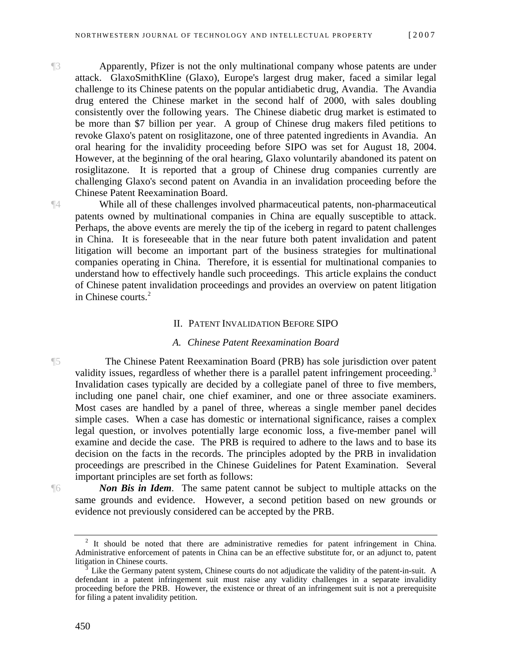¶3 Apparently, Pfizer is not the only multinational company whose patents are under attack. GlaxoSmithKline (Glaxo), Europe's largest drug maker, faced a similar legal challenge to its Chinese patents on the popular antidiabetic drug, Avandia. The Avandia drug entered the Chinese market in the second half of 2000, with sales doubling consistently over the following years. The Chinese diabetic drug market is estimated to be more than \$7 billion per year. A group of Chinese drug makers filed petitions to revoke Glaxo's patent on rosiglitazone, one of three patented ingredients in Avandia. An oral hearing for the invalidity proceeding before SIPO was set for August 18, 2004. However, at the beginning of the oral hearing, Glaxo voluntarily abandoned its patent on rosiglitazone. It is reported that a group of Chinese drug companies currently are challenging Glaxo's second patent on Avandia in an invalidation proceeding before the Chinese Patent Reexamination Board.

¶4 While all of these challenges involved pharmaceutical patents, non-pharmaceutical patents owned by multinational companies in China are equally susceptible to attack. Perhaps, the above events are merely the tip of the iceberg in regard to patent challenges in China. It is foreseeable that in the near future both patent invalidation and patent litigation will become an important part of the business strategies for multinational companies operating in China. Therefore, it is essential for multinational companies to understand how to effectively handle such proceedings. This article explains the conduct of Chinese patent invalidation proceedings and provides an overview on patent litigation in Chinese courts.<sup>[2](#page-3-0)</sup>

#### II. PATENT INVALIDATION BEFORE SIPO

#### *A. Chinese Patent Reexamination Board*

¶5 The Chinese Patent Reexamination Board (PRB) has sole jurisdiction over patent validity issues, regardless of whether there is a parallel patent infringement proceeding.<sup>[3](#page-3-1)</sup> Invalidation cases typically are decided by a collegiate panel of three to five members, including one panel chair, one chief examiner, and one or three associate examiners. Most cases are handled by a panel of three, whereas a single member panel decides simple cases. When a case has domestic or international significance, raises a complex legal question, or involves potentially large economic loss, a five-member panel will examine and decide the case. The PRB is required to adhere to the laws and to base its decision on the facts in the records. The principles adopted by the PRB in invalidation proceedings are prescribed in the Chinese Guidelines for Patent Examination. Several important principles are set forth as follows:

<span id="page-3-0"></span>

¶6 *Non Bis in Idem*. The same patent cannot be subject to multiple attacks on the same grounds and evidence. However, a second petition based on new grounds or evidence not previously considered can be accepted by the PRB.

 $2$  It should be noted that there are administrative remedies for patent infringement in China. Administrative enforcement of patents in China can be an effective substitute for, or an adjunct to, patent litigation in Chinese courts.

<span id="page-3-1"></span>Like the Germany patent system, Chinese courts do not adjudicate the validity of the patent-in-suit. A defendant in a patent infringement suit must raise any validity challenges in a separate invalidity proceeding before the PRB. However, the existence or threat of an infringement suit is not a prerequisite for filing a patent invalidity petition.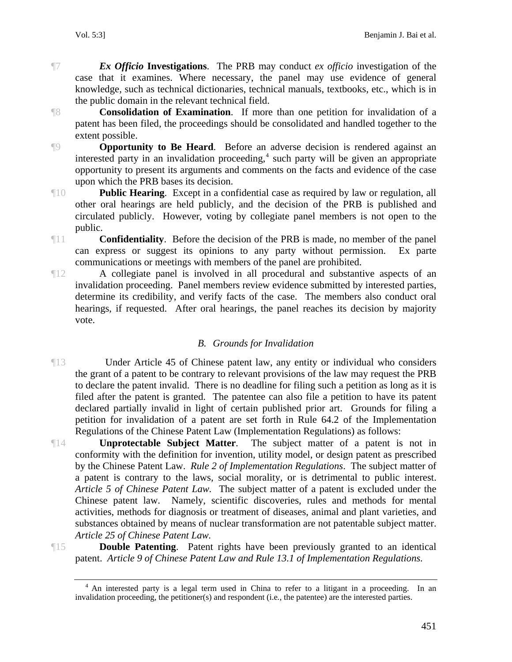¶7 *Ex Officio* **Investigations**. The PRB may conduct *ex officio* investigation of the case that it examines. Where necessary, the panel may use evidence of general knowledge, such as technical dictionaries, technical manuals, textbooks, etc., which is in the public domain in the relevant technical field.

¶8 **Consolidation of Examination**. If more than one petition for invalidation of a patent has been filed, the proceedings should be consolidated and handled together to the extent possible.

**P Opportunity to Be Heard**. Before an adverse decision is rendered against an interested party in an invalidation proceeding,<sup>[4](#page-4-0)</sup> such party will be given an appropriate opportunity to present its arguments and comments on the facts and evidence of the case upon which the PRB bases its decision.

¶10 **Public Hearing**. Except in a confidential case as required by law or regulation, all other oral hearings are held publicly, and the decision of the PRB is published and circulated publicly. However, voting by collegiate panel members is not open to the public.

¶11 **Confidentiality**. Before the decision of the PRB is made, no member of the panel can express or suggest its opinions to any party without permission. Ex parte communications or meetings with members of the panel are prohibited.

¶12 A collegiate panel is involved in all procedural and substantive aspects of an invalidation proceeding. Panel members review evidence submitted by interested parties, determine its credibility, and verify facts of the case. The members also conduct oral hearings, if requested. After oral hearings, the panel reaches its decision by majority vote.

#### *B. Grounds for Invalidation*

¶13 Under Article 45 of Chinese patent law, any entity or individual who considers the grant of a patent to be contrary to relevant provisions of the law may request the PRB to declare the patent invalid. There is no deadline for filing such a petition as long as it is filed after the patent is granted. The patentee can also file a petition to have its patent declared partially invalid in light of certain published prior art. Grounds for filing a petition for invalidation of a patent are set forth in Rule 64.2 of the Implementation Regulations of the Chinese Patent Law (Implementation Regulations) as follows:

¶14 **Unprotectable Subject Matter**. The subject matter of a patent is not in conformity with the definition for invention, utility model, or design patent as prescribed by the Chinese Patent Law. *Rule 2 of Implementation Regulations*. The subject matter of a patent is contrary to the laws, social morality, or is detrimental to public interest. *Article 5 of Chinese Patent Law.* The subject matter of a patent is excluded under the Chinese patent law. Namely, scientific discoveries, rules and methods for mental activities, methods for diagnosis or treatment of diseases, animal and plant varieties, and substances obtained by means of nuclear transformation are not patentable subject matter. *Article 25 of Chinese Patent Law.*

<span id="page-4-0"></span>

¶15 **Double Patenting**. Patent rights have been previously granted to an identical patent. *Article 9 of Chinese Patent Law and Rule 13.1 of Implementation Regulations.*

<sup>&</sup>lt;sup>4</sup> An interested party is a legal term used in China to refer to a litigant in a proceeding. In an invalidation proceeding, the petitioner(s) and respondent (i.e*.*, the patentee) are the interested parties.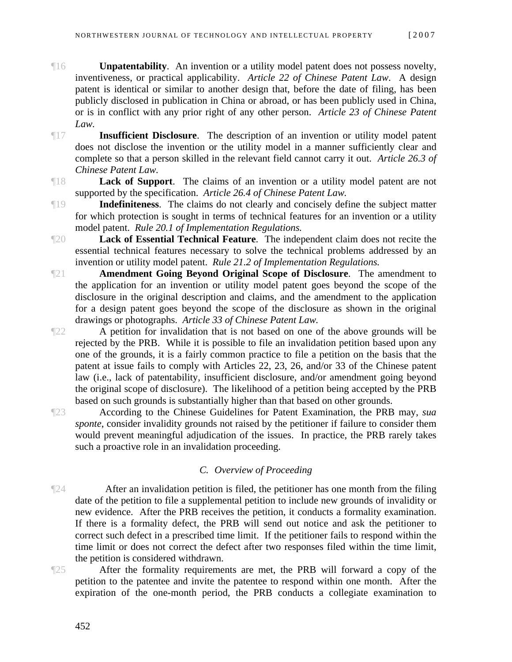- **The Unpatentability.** An invention or a utility model patent does not possess novelty, inventiveness, or practical applicability. *Article 22 of Chinese Patent Law*. A design patent is identical or similar to another design that, before the date of filing, has been publicly disclosed in publication in China or abroad, or has been publicly used in China, or is in conflict with any prior right of any other person. *Article 23 of Chinese Patent Law.*
- ¶17 **Insufficient Disclosure**. The description of an invention or utility model patent does not disclose the invention or the utility model in a manner sufficiently clear and complete so that a person skilled in the relevant field cannot carry it out. *Article 26.3 of Chinese Patent Law.*
- ¶18 **Lack of Support**. The claims of an invention or a utility model patent are not supported by the specification. *Article 26.4 of Chinese Patent Law.*
- **Indefiniteness**. The claims do not clearly and concisely define the subject matter for which protection is sought in terms of technical features for an invention or a utility model patent. *Rule 20.1 of Implementation Regulations.*
- ¶20 **Lack of Essential Technical Feature**. The independent claim does not recite the essential technical features necessary to solve the technical problems addressed by an invention or utility model patent. *Rule 21.2 of Implementation Regulations.*
- ¶21 **Amendment Going Beyond Original Scope of Disclosure**. The amendment to the application for an invention or utility model patent goes beyond the scope of the disclosure in the original description and claims, and the amendment to the application for a design patent goes beyond the scope of the disclosure as shown in the original drawings or photographs. *Article 33 of Chinese Patent Law.*

¶22 A petition for invalidation that is not based on one of the above grounds will be rejected by the PRB. While it is possible to file an invalidation petition based upon any one of the grounds, it is a fairly common practice to file a petition on the basis that the patent at issue fails to comply with Articles 22, 23, 26, and/or 33 of the Chinese patent law (i.e., lack of patentability, insufficient disclosure, and/or amendment going beyond the original scope of disclosure). The likelihood of a petition being accepted by the PRB based on such grounds is substantially higher than that based on other grounds.

¶23 According to the Chinese Guidelines for Patent Examination, the PRB may, *sua sponte*, consider invalidity grounds not raised by the petitioner if failure to consider them would prevent meaningful adjudication of the issues. In practice, the PRB rarely takes such a proactive role in an invalidation proceeding.

#### *C. Overview of Proceeding*

¶24 After an invalidation petition is filed, the petitioner has one month from the filing date of the petition to file a supplemental petition to include new grounds of invalidity or new evidence. After the PRB receives the petition, it conducts a formality examination. If there is a formality defect, the PRB will send out notice and ask the petitioner to correct such defect in a prescribed time limit. If the petitioner fails to respond within the time limit or does not correct the defect after two responses filed within the time limit, the petition is considered withdrawn.

¶25 After the formality requirements are met, the PRB will forward a copy of the petition to the patentee and invite the patentee to respond within one month. After the expiration of the one-month period, the PRB conducts a collegiate examination to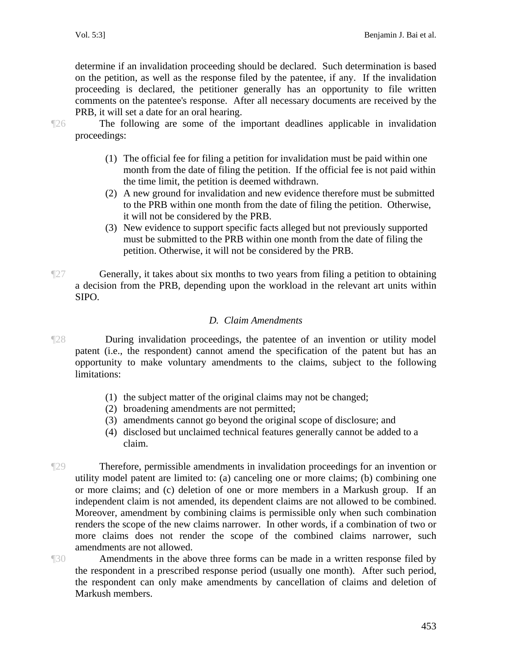determine if an invalidation proceeding should be declared. Such determination is based on the petition, as well as the response filed by the patentee, if any. If the invalidation proceeding is declared, the petitioner generally has an opportunity to file written comments on the patentee's response. After all necessary documents are received by the PRB, it will set a date for an oral hearing.

¶26 The following are some of the important deadlines applicable in invalidation proceedings:

- (1) The official fee for filing a petition for invalidation must be paid within one month from the date of filing the petition. If the official fee is not paid within the time limit, the petition is deemed withdrawn.
- (2) A new ground for invalidation and new evidence therefore must be submitted to the PRB within one month from the date of filing the petition. Otherwise, it will not be considered by the PRB.
- (3) New evidence to support specific facts alleged but not previously supported must be submitted to the PRB within one month from the date of filing the petition. Otherwise, it will not be considered by the PRB.
- ¶27 Generally, it takes about six months to two years from filing a petition to obtaining a decision from the PRB, depending upon the workload in the relevant art units within SIPO.

### *D. Claim Amendments*

- ¶28 During invalidation proceedings, the patentee of an invention or utility model patent (i.e., the respondent) cannot amend the specification of the patent but has an opportunity to make voluntary amendments to the claims, subject to the following limitations:
	- (1) the subject matter of the original claims may not be changed;
	- (2) broadening amendments are not permitted;
	- (3) amendments cannot go beyond the original scope of disclosure; and
	- (4) disclosed but unclaimed technical features generally cannot be added to a claim.
- ¶29 Therefore, permissible amendments in invalidation proceedings for an invention or utility model patent are limited to: (a) canceling one or more claims; (b) combining one or more claims; and (c) deletion of one or more members in a Markush group. If an independent claim is not amended, its dependent claims are not allowed to be combined. Moreover, amendment by combining claims is permissible only when such combination renders the scope of the new claims narrower. In other words, if a combination of two or more claims does not render the scope of the combined claims narrower, such amendments are not allowed.
- ¶30 Amendments in the above three forms can be made in a written response filed by the respondent in a prescribed response period (usually one month). After such period, the respondent can only make amendments by cancellation of claims and deletion of Markush members.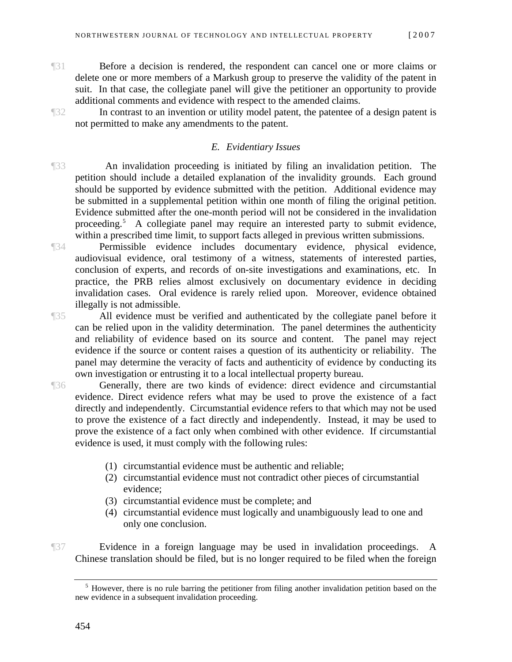¶31 Before a decision is rendered, the respondent can cancel one or more claims or delete one or more members of a Markush group to preserve the validity of the patent in suit. In that case, the collegiate panel will give the petitioner an opportunity to provide additional comments and evidence with respect to the amended claims.

¶32 In contrast to an invention or utility model patent, the patentee of a design patent is not permitted to make any amendments to the patent.

#### *E. Evidentiary Issues*

¶33 An invalidation proceeding is initiated by filing an invalidation petition. The petition should include a detailed explanation of the invalidity grounds. Each ground should be supported by evidence submitted with the petition. Additional evidence may be submitted in a supplemental petition within one month of filing the original petition. Evidence submitted after the one-month period will not be considered in the invalidation proceeding.<sup>[5](#page-7-0)</sup> A collegiate panel may require an interested party to submit evidence, within a prescribed time limit, to support facts alleged in previous written submissions.

¶34 Permissible evidence includes documentary evidence, physical evidence, audiovisual evidence, oral testimony of a witness, statements of interested parties, conclusion of experts, and records of on-site investigations and examinations, etc. In practice, the PRB relies almost exclusively on documentary evidence in deciding

illegally is not admissible.

¶35 All evidence must be verified and authenticated by the collegiate panel before it can be relied upon in the validity determination. The panel determines the authenticity and reliability of evidence based on its source and content. The panel may reject evidence if the source or content raises a question of its authenticity or reliability. The panel may determine the veracity of facts and authenticity of evidence by conducting its own investigation or entrusting it to a local intellectual property bureau.

invalidation cases. Oral evidence is rarely relied upon. Moreover, evidence obtained

¶36 Generally, there are two kinds of evidence: direct evidence and circumstantial evidence. Direct evidence refers what may be used to prove the existence of a fact directly and independently. Circumstantial evidence refers to that which may not be used to prove the existence of a fact directly and independently. Instead, it may be used to prove the existence of a fact only when combined with other evidence. If circumstantial evidence is used, it must comply with the following rules:

- (1) circumstantial evidence must be authentic and reliable;
- (2) circumstantial evidence must not contradict other pieces of circumstantial evidence;
- (3) circumstantial evidence must be complete; and
- (4) circumstantial evidence must logically and unambiguously lead to one and only one conclusion.

<span id="page-7-0"></span>¶37 Evidence in a foreign language may be used in invalidation proceedings. A Chinese translation should be filed, but is no longer required to be filed when the foreign

<sup>&</sup>lt;sup>5</sup> However, there is no rule barring the petitioner from filing another invalidation petition based on the new evidence in a subsequent invalidation proceeding.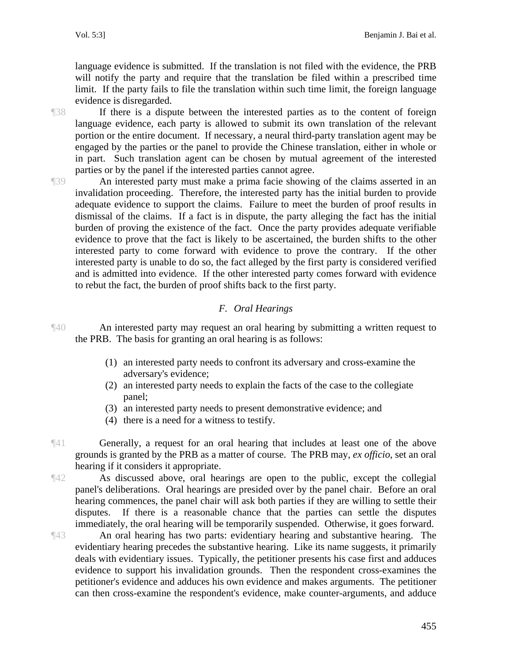language evidence is submitted. If the translation is not filed with the evidence, the PRB will notify the party and require that the translation be filed within a prescribed time limit. If the party fails to file the translation within such time limit, the foreign language evidence is disregarded.

¶38 If there is a dispute between the interested parties as to the content of foreign language evidence, each party is allowed to submit its own translation of the relevant portion or the entire document. If necessary, a neural third-party translation agent may be engaged by the parties or the panel to provide the Chinese translation, either in whole or in part. Such translation agent can be chosen by mutual agreement of the interested parties or by the panel if the interested parties cannot agree.

¶39 An interested party must make a prima facie showing of the claims asserted in an invalidation proceeding. Therefore, the interested party has the initial burden to provide adequate evidence to support the claims. Failure to meet the burden of proof results in dismissal of the claims. If a fact is in dispute, the party alleging the fact has the initial burden of proving the existence of the fact. Once the party provides adequate verifiable evidence to prove that the fact is likely to be ascertained, the burden shifts to the other interested party to come forward with evidence to prove the contrary. If the other interested party is unable to do so, the fact alleged by the first party is considered verified and is admitted into evidence. If the other interested party comes forward with evidence to rebut the fact, the burden of proof shifts back to the first party.

#### *F. Oral Hearings*

¶40 An interested party may request an oral hearing by submitting a written request to the PRB. The basis for granting an oral hearing is as follows:

- (1) an interested party needs to confront its adversary and cross-examine the adversary's evidence;
- (2) an interested party needs to explain the facts of the case to the collegiate panel;
- (3) an interested party needs to present demonstrative evidence; and
- (4) there is a need for a witness to testify.
- ¶41 Generally, a request for an oral hearing that includes at least one of the above grounds is granted by the PRB as a matter of course. The PRB may, *ex officio*, set an oral hearing if it considers it appropriate.

¶42 As discussed above, oral hearings are open to the public, except the collegial panel's deliberations. Oral hearings are presided over by the panel chair. Before an oral hearing commences, the panel chair will ask both parties if they are willing to settle their disputes. If there is a reasonable chance that the parties can settle the disputes immediately, the oral hearing will be temporarily suspended. Otherwise, it goes forward.

¶43 An oral hearing has two parts: evidentiary hearing and substantive hearing. The evidentiary hearing precedes the substantive hearing. Like its name suggests, it primarily deals with evidentiary issues. Typically, the petitioner presents his case first and adduces evidence to support his invalidation grounds. Then the respondent cross-examines the petitioner's evidence and adduces his own evidence and makes arguments. The petitioner can then cross-examine the respondent's evidence, make counter-arguments, and adduce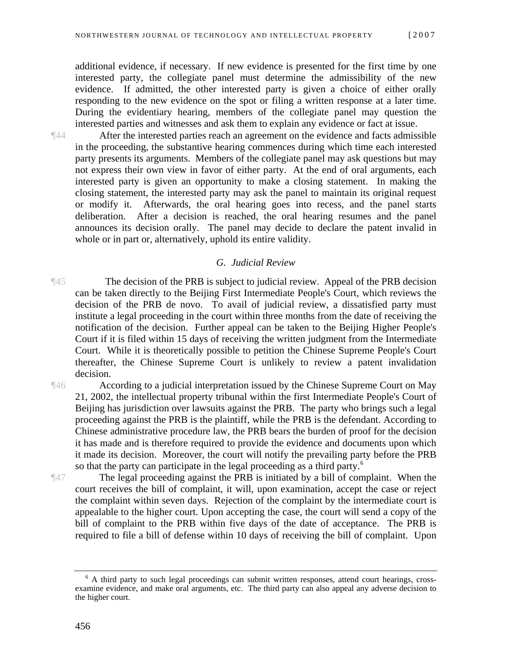additional evidence, if necessary. If new evidence is presented for the first time by one interested party, the collegiate panel must determine the admissibility of the new evidence. If admitted, the other interested party is given a choice of either orally responding to the new evidence on the spot or filing a written response at a later time. During the evidentiary hearing, members of the collegiate panel may question the interested parties and witnesses and ask them to explain any evidence or fact at issue.

¶44 After the interested parties reach an agreement on the evidence and facts admissible in the proceeding, the substantive hearing commences during which time each interested party presents its arguments. Members of the collegiate panel may ask questions but may not express their own view in favor of either party. At the end of oral arguments, each interested party is given an opportunity to make a closing statement. In making the closing statement, the interested party may ask the panel to maintain its original request or modify it. Afterwards, the oral hearing goes into recess, and the panel starts deliberation. After a decision is reached, the oral hearing resumes and the panel announces its decision orally. The panel may decide to declare the patent invalid in whole or in part or, alternatively, uphold its entire validity.

#### *G. Judicial Review*

¶45 The decision of the PRB is subject to judicial review. Appeal of the PRB decision can be taken directly to the Beijing First Intermediate People's Court, which reviews the decision of the PRB de novo. To avail of judicial review, a dissatisfied party must institute a legal proceeding in the court within three months from the date of receiving the notification of the decision. Further appeal can be taken to the Beijing Higher People's Court if it is filed within 15 days of receiving the written judgment from the Intermediate Court. While it is theoretically possible to petition the Chinese Supreme People's Court thereafter, the Chinese Supreme Court is unlikely to review a patent invalidation decision.

¶46 According to a judicial interpretation issued by the Chinese Supreme Court on May 21, 2002, the intellectual property tribunal within the first Intermediate People's Court of Beijing has jurisdiction over lawsuits against the PRB. The party who brings such a legal proceeding against the PRB is the plaintiff, while the PRB is the defendant. According to Chinese administrative procedure law, the PRB bears the burden of proof for the decision it has made and is therefore required to provide the evidence and documents upon which it made its decision. Moreover, the court will notify the prevailing party before the PRB so that the party can participate in the legal proceeding as a third party.<sup>6</sup>

¶47 The legal proceeding against the PRB is initiated by a bill of complaint. When the court receives the bill of complaint, it will, upon examination, accept the case or reject the complaint within seven days. Rejection of the complaint by the intermediate court is appealable to the higher court. Upon accepting the case, the court will send a copy of the bill of complaint to the PRB within five days of the date of acceptance. The PRB is required to file a bill of defense within 10 days of receiving the bill of complaint. Upon

<span id="page-9-0"></span><sup>&</sup>lt;sup>6</sup> A third party to such legal proceedings can submit written responses, attend court hearings, crossexamine evidence, and make oral arguments, etc. The third party can also appeal any adverse decision to the higher court.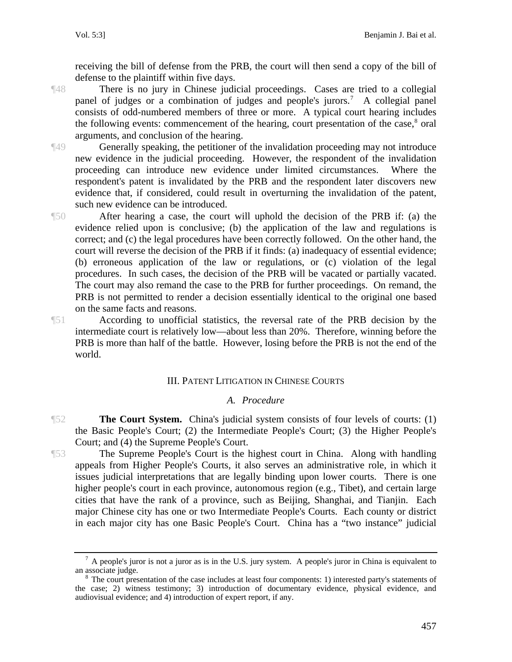receiving the bill of defense from the PRB, the court will then send a copy of the bill of defense to the plaintiff within five days.

¶48 There is no jury in Chinese judicial proceedings. Cases are tried to a collegial panel of judges or a combination of judges and people's jurors.<sup>[7](#page-10-0)</sup> A collegial panel consists of odd-numbered members of three or more. A typical court hearing includes the following events: commencement of the hearing, court presentation of the case,<sup>[8](#page-10-1)</sup> oral arguments, and conclusion of the hearing.

¶49 Generally speaking, the petitioner of the invalidation proceeding may not introduce new evidence in the judicial proceeding. However, the respondent of the invalidation proceeding can introduce new evidence under limited circumstances. Where the respondent's patent is invalidated by the PRB and the respondent later discovers new evidence that, if considered, could result in overturning the invalidation of the patent, such new evidence can be introduced.

¶50 After hearing a case, the court will uphold the decision of the PRB if: (a) the evidence relied upon is conclusive; (b) the application of the law and regulations is correct; and (c) the legal procedures have been correctly followed. On the other hand, the court will reverse the decision of the PRB if it finds: (a) inadequacy of essential evidence; (b) erroneous application of the law or regulations, or (c) violation of the legal procedures. In such cases, the decision of the PRB will be vacated or partially vacated. The court may also remand the case to the PRB for further proceedings. On remand, the PRB is not permitted to render a decision essentially identical to the original one based on the same facts and reasons.

¶51 According to unofficial statistics, the reversal rate of the PRB decision by the intermediate court is relatively low—about less than 20%. Therefore, winning before the PRB is more than half of the battle. However, losing before the PRB is not the end of the world.

#### III. PATENT LITIGATION IN CHINESE COURTS

#### *A. Procedure*

**The Court System.** China's judicial system consists of four levels of courts: (1) the Basic People's Court; (2) the Intermediate People's Court; (3) the Higher People's Court; and (4) the Supreme People's Court.

¶53 The Supreme People's Court is the highest court in China. Along with handling appeals from Higher People's Courts, it also serves an administrative role, in which it issues judicial interpretations that are legally binding upon lower courts. There is one higher people's court in each province, autonomous region (e.g., Tibet), and certain large cities that have the rank of a province, such as Beijing, Shanghai, and Tianjin. Each major Chinese city has one or two Intermediate People's Courts. Each county or district in each major city has one Basic People's Court. China has a "two instance" judicial

<span id="page-10-0"></span> $^7$  A people's juror is not a juror as is in the U.S. jury system. A people's juror in China is equivalent to an associate judge.

<span id="page-10-1"></span><sup>&</sup>lt;sup>8</sup> The court presentation of the case includes at least four components: 1) interested party's statements of the case; 2) witness testimony; 3) introduction of documentary evidence, physical evidence, and audiovisual evidence; and 4) introduction of expert report, if any.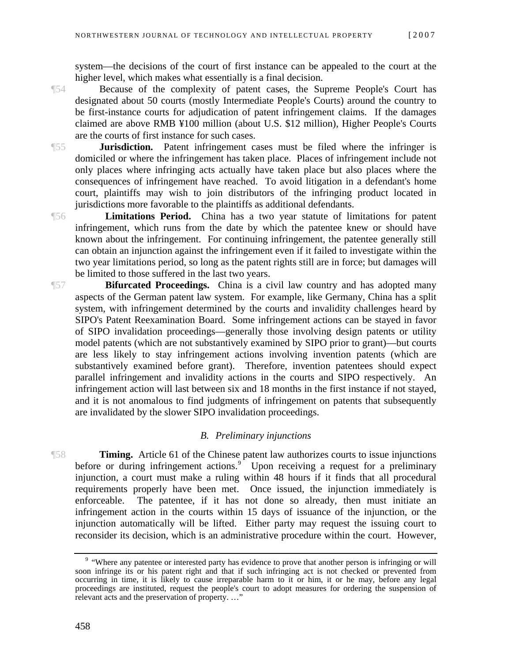system—the decisions of the court of first instance can be appealed to the court at the higher level, which makes what essentially is a final decision.

¶54 Because of the complexity of patent cases, the Supreme People's Court has designated about 50 courts (mostly Intermediate People's Courts) around the country to be first-instance courts for adjudication of patent infringement claims. If the damages claimed are above RMB ¥100 million (about U.S. \$12 million), Higher People's Courts are the courts of first instance for such cases.

¶55 **Jurisdiction.** Patent infringement cases must be filed where the infringer is domiciled or where the infringement has taken place. Places of infringement include not only places where infringing acts actually have taken place but also places where the consequences of infringement have reached. To avoid litigation in a defendant's home court, plaintiffs may wish to join distributors of the infringing product located in jurisdictions more favorable to the plaintiffs as additional defendants.

¶56 **Limitations Period.** China has a two year statute of limitations for patent infringement, which runs from the date by which the patentee knew or should have known about the infringement. For continuing infringement, the patentee generally still can obtain an injunction against the infringement even if it failed to investigate within the two year limitations period, so long as the patent rights still are in force; but damages will be limited to those suffered in the last two years.

¶57 **Bifurcated Proceedings.** China is a civil law country and has adopted many aspects of the German patent law system. For example, like Germany, China has a split system, with infringement determined by the courts and invalidity challenges heard by SIPO's Patent Reexamination Board. Some infringement actions can be stayed in favor of SIPO invalidation proceedings—generally those involving design patents or utility model patents (which are not substantively examined by SIPO prior to grant)—but courts are less likely to stay infringement actions involving invention patents (which are substantively examined before grant). Therefore, invention patentees should expect parallel infringement and invalidity actions in the courts and SIPO respectively. An infringement action will last between six and 18 months in the first instance if not stayed, and it is not anomalous to find judgments of infringement on patents that subsequently are invalidated by the slower SIPO invalidation proceedings.

#### *B. Preliminary injunctions*

¶58 **Timing.** Article 61 of the Chinese patent law authorizes courts to issue injunctions before or during infringement actions.<sup>[9](#page-11-0)</sup> Upon receiving a request for a preliminary injunction, a court must make a ruling within 48 hours if it finds that all procedural requirements properly have been met. Once issued, the injunction immediately is enforceable. The patentee, if it has not done so already, then must initiate an infringement action in the courts within 15 days of issuance of the injunction, or the injunction automatically will be lifted. Either party may request the issuing court to reconsider its decision, which is an administrative procedure within the court. However,

<span id="page-11-0"></span><sup>&</sup>lt;sup>9</sup> "Where any patentee or interested party has evidence to prove that another person is infringing or will soon infringe its or his patent right and that if such infringing act is not checked or prevented from occurring in time, it is likely to cause irreparable harm to it or him, it or he may, before any legal proceedings are instituted, request the people's court to adopt measures for ordering the suspension of relevant acts and the preservation of property. …"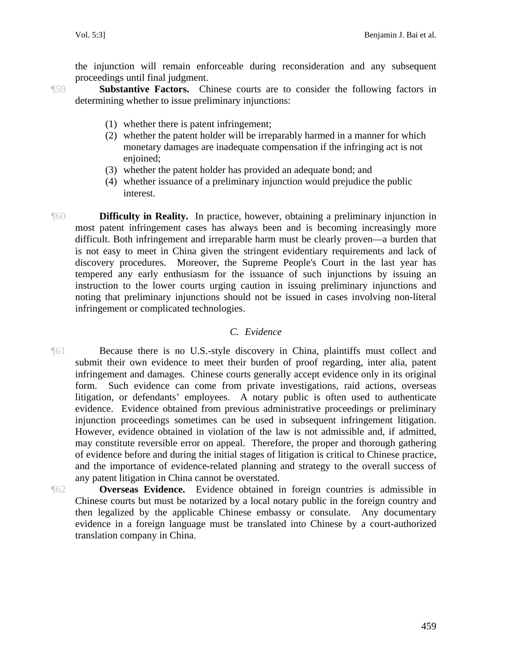the injunction will remain enforceable during reconsideration and any subsequent proceedings until final judgment.

¶59 **Substantive Factors.** Chinese courts are to consider the following factors in determining whether to issue preliminary injunctions:

- (1) whether there is patent infringement;
- (2) whether the patent holder will be irreparably harmed in a manner for which monetary damages are inadequate compensation if the infringing act is not enjoined;
- (3) whether the patent holder has provided an adequate bond; and
- (4) whether issuance of a preliminary injunction would prejudice the public interest.
- ¶60 **Difficulty in Reality.** In practice, however, obtaining a preliminary injunction in most patent infringement cases has always been and is becoming increasingly more difficult. Both infringement and irreparable harm must be clearly proven—a burden that is not easy to meet in China given the stringent evidentiary requirements and lack of discovery procedures. Moreover, the Supreme People's Court in the last year has tempered any early enthusiasm for the issuance of such injunctions by issuing an instruction to the lower courts urging caution in issuing preliminary injunctions and noting that preliminary injunctions should not be issued in cases involving non-literal infringement or complicated technologies.

#### *C. Evidence*

- ¶61 Because there is no U.S.-style discovery in China, plaintiffs must collect and submit their own evidence to meet their burden of proof regarding, inter alia, patent infringement and damages. Chinese courts generally accept evidence only in its original form. Such evidence can come from private investigations, raid actions, overseas litigation, or defendants' employees. A notary public is often used to authenticate evidence. Evidence obtained from previous administrative proceedings or preliminary injunction proceedings sometimes can be used in subsequent infringement litigation. However, evidence obtained in violation of the law is not admissible and, if admitted, may constitute reversible error on appeal. Therefore, the proper and thorough gathering of evidence before and during the initial stages of litigation is critical to Chinese practice, and the importance of evidence-related planning and strategy to the overall success of any patent litigation in China cannot be overstated.
- ¶62 **Overseas Evidence.** Evidence obtained in foreign countries is admissible in Chinese courts but must be notarized by a local notary public in the foreign country and then legalized by the applicable Chinese embassy or consulate. Any documentary evidence in a foreign language must be translated into Chinese by a court-authorized translation company in China.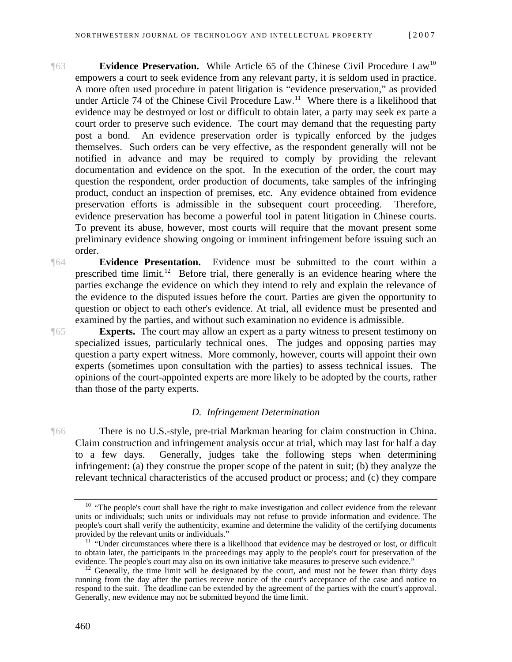- **Evidence Preservation.** While Article 65 of the Chinese Civil Procedure Law<sup>10</sup> empowers a court to seek evidence from any relevant party, it is seldom used in practice. A more often used procedure in patent litigation is "evidence preservation," as provided under Article 74 of the Chinese Civil Procedure  $Law<sup>11</sup>$  $Law<sup>11</sup>$  $Law<sup>11</sup>$  Where there is a likelihood that evidence may be destroyed or lost or difficult to obtain later, a party may seek ex parte a court order to preserve such evidence. The court may demand that the requesting party post a bond. An evidence preservation order is typically enforced by the judges themselves. Such orders can be very effective, as the respondent generally will not be notified in advance and may be required to comply by providing the relevant documentation and evidence on the spot. In the execution of the order, the court may question the respondent, order production of documents, take samples of the infringing product, conduct an inspection of premises, etc. Any evidence obtained from evidence preservation efforts is admissible in the subsequent court proceeding. Therefore, evidence preservation has become a powerful tool in patent litigation in Chinese courts. To prevent its abuse, however, most courts will require that the movant present some preliminary evidence showing ongoing or imminent infringement before issuing such an order.
- ¶64 **Evidence Presentation.** Evidence must be submitted to the court within a prescribed time limit.<sup>[12](#page-13-2)</sup> Before trial, there generally is an evidence hearing where the parties exchange the evidence on which they intend to rely and explain the relevance of the evidence to the disputed issues before the court. Parties are given the opportunity to question or object to each other's evidence. At trial, all evidence must be presented and examined by the parties, and without such examination no evidence is admissible.

**Experts.** The court may allow an expert as a party witness to present testimony on specialized issues, particularly technical ones. The judges and opposing parties may question a party expert witness. More commonly, however, courts will appoint their own experts (sometimes upon consultation with the parties) to assess technical issues. The opinions of the court-appointed experts are more likely to be adopted by the courts, rather than those of the party experts.

#### *D. Infringement Determination*

¶66 There is no U.S.-style, pre-trial Markman hearing for claim construction in China. Claim construction and infringement analysis occur at trial, which may last for half a day to a few days. Generally, judges take the following steps when determining infringement: (a) they construe the proper scope of the patent in suit; (b) they analyze the relevant technical characteristics of the accused product or process; and (c) they compare

<span id="page-13-0"></span><sup>&</sup>lt;sup>10</sup> "The people's court shall have the right to make investigation and collect evidence from the relevant units or individuals; such units or individuals may not refuse to provide information and evidence. The people's court shall verify the authenticity, examine and determine the validity of the certifying documents

<span id="page-13-1"></span> $11$  "Under circumstances where there is a likelihood that evidence may be destroyed or lost, or difficult to obtain later, the participants in the proceedings may apply to the people's court for preservation of the evidence. The people's court may also on its own initiative take measures to preserve such evidence."

<span id="page-13-2"></span> $^{12}$  Generally, the time limit will be designated by the court, and must not be fewer than thirty days running from the day after the parties receive notice of the court's acceptance of the case and notice to respond to the suit. The deadline can be extended by the agreement of the parties with the court's approval. Generally, new evidence may not be submitted beyond the time limit.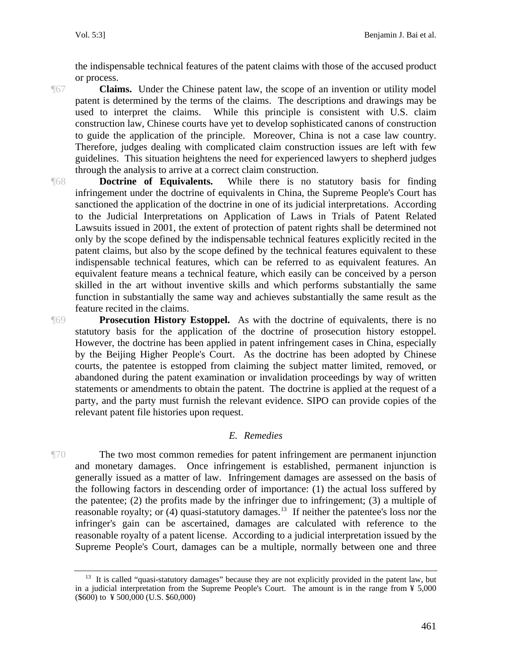the indispensable technical features of the patent claims with those of the accused product or process.

**Claims.** Under the Chinese patent law, the scope of an invention or utility model patent is determined by the terms of the claims. The descriptions and drawings may be used to interpret the claims. While this principle is consistent with U.S. claim construction law, Chinese courts have yet to develop sophisticated canons of construction to guide the application of the principle. Moreover, China is not a case law country. Therefore, judges dealing with complicated claim construction issues are left with few guidelines. This situation heightens the need for experienced lawyers to shepherd judges through the analysis to arrive at a correct claim construction.

¶68 **Doctrine of Equivalents.** While there is no statutory basis for finding infringement under the doctrine of equivalents in China, the Supreme People's Court has sanctioned the application of the doctrine in one of its judicial interpretations. According to the Judicial Interpretations on Application of Laws in Trials of Patent Related Lawsuits issued in 2001, the extent of protection of patent rights shall be determined not only by the scope defined by the indispensable technical features explicitly recited in the patent claims, but also by the scope defined by the technical features equivalent to these indispensable technical features, which can be referred to as equivalent features. An equivalent feature means a technical feature, which easily can be conceived by a person skilled in the art without inventive skills and which performs substantially the same function in substantially the same way and achieves substantially the same result as the feature recited in the claims.

**Prosecution History Estoppel.** As with the doctrine of equivalents, there is no statutory basis for the application of the doctrine of prosecution history estoppel. However, the doctrine has been applied in patent infringement cases in China, especially by the Beijing Higher People's Court. As the doctrine has been adopted by Chinese courts, the patentee is estopped from claiming the subject matter limited, removed, or abandoned during the patent examination or invalidation proceedings by way of written statements or amendments to obtain the patent. The doctrine is applied at the request of a party, and the party must furnish the relevant evidence. SIPO can provide copies of the relevant patent file histories upon request.

#### *E. Remedies*

¶70 The two most common remedies for patent infringement are permanent injunction and monetary damages. Once infringement is established, permanent injunction is generally issued as a matter of law. Infringement damages are assessed on the basis of the following factors in descending order of importance: (1) the actual loss suffered by the patentee;  $(2)$  the profits made by the infringer due to infringement;  $(3)$  a multiple of reasonable royalty; or (4) quasi-statutory damages.<sup>[13](#page-14-0)</sup> If neither the patentee's loss nor the infringer's gain can be ascertained, damages are calculated with reference to the reasonable royalty of a patent license. According to a judicial interpretation issued by the Supreme People's Court, damages can be a multiple, normally between one and three

<span id="page-14-0"></span><sup>&</sup>lt;sup>13</sup> It is called "quasi-statutory damages" because they are not explicitly provided in the patent law, but in a judicial interpretation from the Supreme People's Court. The amount is in the range from ¥ 5,000  $(\$600)$  to ¥ 500,000 (U.S. \$60,000)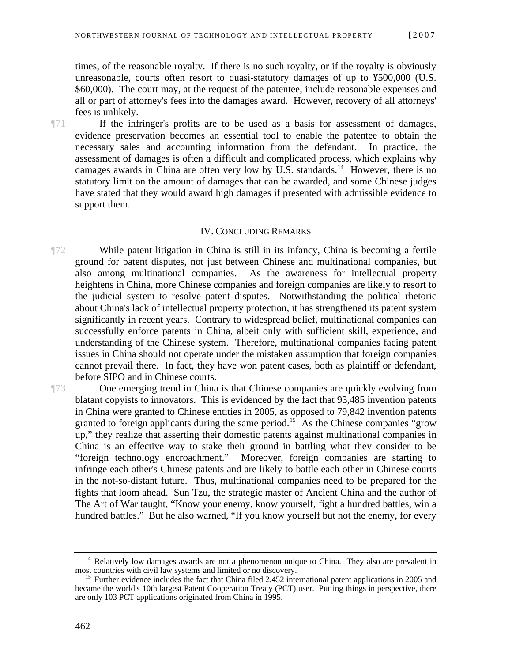times, of the reasonable royalty. If there is no such royalty, or if the royalty is obviously unreasonable, courts often resort to quasi-statutory damages of up to ¥500,000 (U.S. \$60,000). The court may, at the request of the patentee, include reasonable expenses and all or part of attorney's fees into the damages award. However, recovery of all attorneys' fees is unlikely.

¶71 If the infringer's profits are to be used as a basis for assessment of damages, evidence preservation becomes an essential tool to enable the patentee to obtain the necessary sales and accounting information from the defendant. In practice, the assessment of damages is often a difficult and complicated process, which explains why damages awards in China are often very low by U.S. standards.<sup>[14](#page-15-0)</sup> However, there is no statutory limit on the amount of damages that can be awarded, and some Chinese judges have stated that they would award high damages if presented with admissible evidence to support them.

#### IV. CONCLUDING REMARKS

¶72 While patent litigation in China is still in its infancy, China is becoming a fertile ground for patent disputes, not just between Chinese and multinational companies, but also among multinational companies. As the awareness for intellectual property heightens in China, more Chinese companies and foreign companies are likely to resort to the judicial system to resolve patent disputes. Notwithstanding the political rhetoric about China's lack of intellectual property protection, it has strengthened its patent system significantly in recent years. Contrary to widespread belief, multinational companies can successfully enforce patents in China, albeit only with sufficient skill, experience, and understanding of the Chinese system. Therefore, multinational companies facing patent issues in China should not operate under the mistaken assumption that foreign companies cannot prevail there. In fact, they have won patent cases, both as plaintiff or defendant, before SIPO and in Chinese courts.

¶73 One emerging trend in China is that Chinese companies are quickly evolving from blatant copyists to innovators. This is evidenced by the fact that 93,485 invention patents in China were granted to Chinese entities in 2005, as opposed to 79,842 invention patents granted to foreign applicants during the same period.<sup>[15](#page-15-1)</sup> As the Chinese companies "grow" up," they realize that asserting their domestic patents against multinational companies in China is an effective way to stake their ground in battling what they consider to be "foreign technology encroachment." Moreover, foreign companies are starting to infringe each other's Chinese patents and are likely to battle each other in Chinese courts in the not-so-distant future. Thus, multinational companies need to be prepared for the fights that loom ahead. Sun Tzu, the strategic master of Ancient China and the author of The Art of War taught, "Know your enemy, know yourself, fight a hundred battles, win a hundred battles." But he also warned, "If you know yourself but not the enemy, for every

<span id="page-15-0"></span> $14$  Relatively low damages awards are not a phenomenon unique to China. They also are prevalent in most countries with civil law systems and limited or no discovery.

<span id="page-15-1"></span><sup>&</sup>lt;sup>15</sup> Further evidence includes the fact that China filed  $2,452$  international patent applications in 2005 and became the world's 10th largest Patent Cooperation Treaty (PCT) user. Putting things in perspective, there are only 103 PCT applications originated from China in 1995.